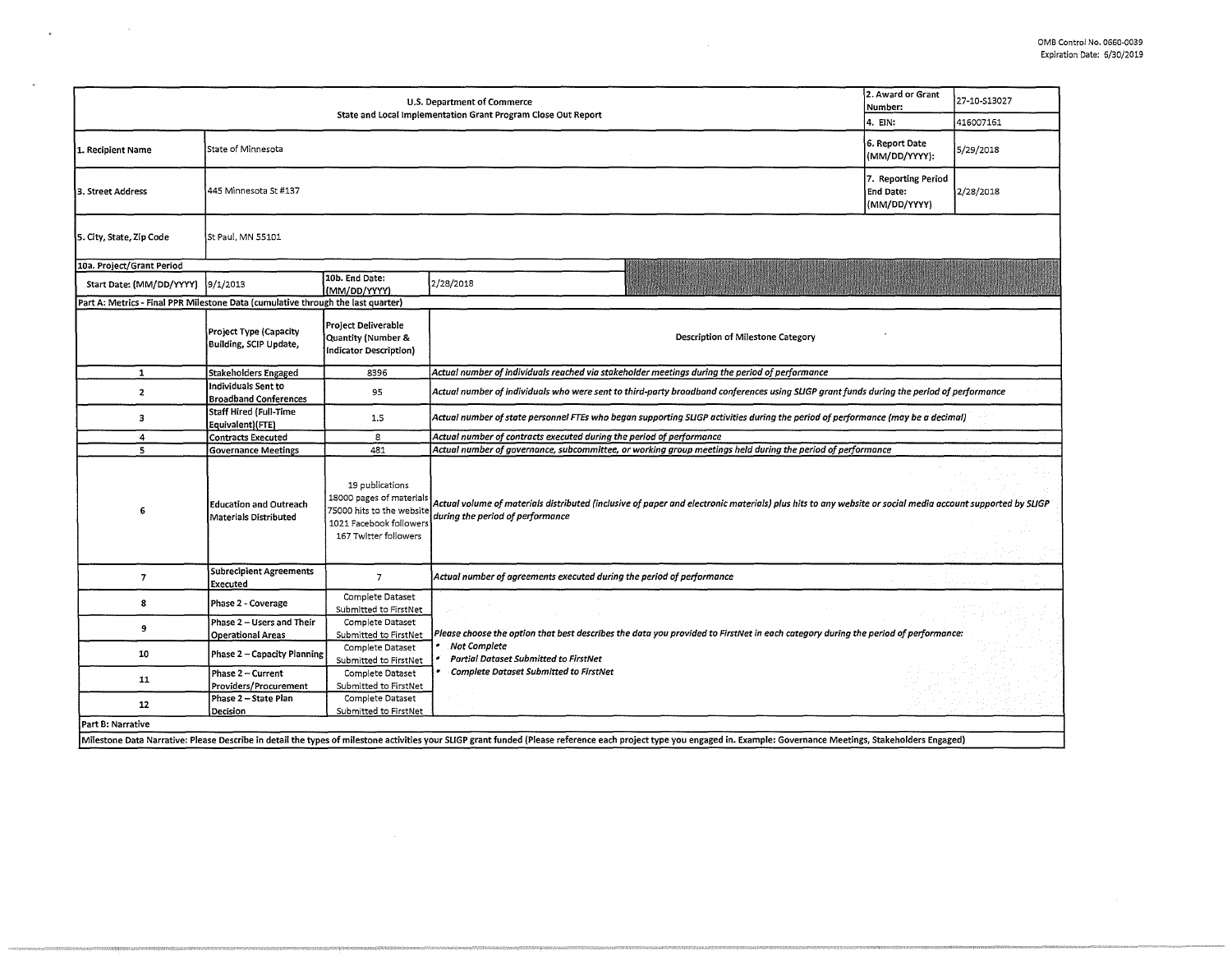| 2. Award or Grant<br>U.S. Department of Commerce<br>Number:<br>State and Local Implementation Grant Program Close Out Report |                                                                                                        |                                                                                                                              |                                                                                                                                                                                                                       |                                 | 27-10-S13027 |  |  |  |
|------------------------------------------------------------------------------------------------------------------------------|--------------------------------------------------------------------------------------------------------|------------------------------------------------------------------------------------------------------------------------------|-----------------------------------------------------------------------------------------------------------------------------------------------------------------------------------------------------------------------|---------------------------------|--------------|--|--|--|
|                                                                                                                              |                                                                                                        |                                                                                                                              | 4. EIN:                                                                                                                                                                                                               | 416007161                       |              |  |  |  |
| 1. Recipient Name                                                                                                            | State of Minnesota                                                                                     |                                                                                                                              |                                                                                                                                                                                                                       | 6. Report Date<br>(MM/DD/YYYY): | 5/29/2018    |  |  |  |
| 3. Street Address                                                                                                            | 445 Minnesota St #137                                                                                  |                                                                                                                              |                                                                                                                                                                                                                       |                                 | 2/28/2018    |  |  |  |
| 5. City, State, Zip Code                                                                                                     | St Paul, MN 55101                                                                                      |                                                                                                                              |                                                                                                                                                                                                                       |                                 |              |  |  |  |
| 10a. Project/Grant Period                                                                                                    |                                                                                                        |                                                                                                                              |                                                                                                                                                                                                                       |                                 |              |  |  |  |
| Start Date: (MM/DD/YYYY)                                                                                                     | 9/1/2013                                                                                               | 10b. End Date:<br>(MM/DD/YYYY)                                                                                               | 2/28/2018                                                                                                                                                                                                             |                                 |              |  |  |  |
| Part A: Metrics - Final PPR Milestone Data (cumulative through the last quarter)                                             |                                                                                                        |                                                                                                                              |                                                                                                                                                                                                                       |                                 |              |  |  |  |
|                                                                                                                              | Project Type (Capacity<br>Building, SCIP Update,                                                       | <b>Project Deliverable</b><br>Quantity (Number &<br>Indicator Description)                                                   | Description of Milestone Category                                                                                                                                                                                     |                                 |              |  |  |  |
| $\mathbf{1}$                                                                                                                 | Stakeholders Engaged                                                                                   | 8396                                                                                                                         | Actual number of individuals reached via stakeholder meetings during the period of performance                                                                                                                        |                                 |              |  |  |  |
| $\mathbf{2}$                                                                                                                 | Individuals Sent to<br><b>Broadband Conferences</b>                                                    | 95                                                                                                                           | Actual number of individuals who were sent to third-party broadband conferences using SLIGP grant funds during the period of performance                                                                              |                                 |              |  |  |  |
| 3                                                                                                                            | <b>Staff Hired (Full-Time</b><br>Equivalent)(FTE)                                                      | 1.5                                                                                                                          | Actual number of state personnel FTEs who began supporting SLIGP activities during the period of performance (may be a decimal)                                                                                       |                                 |              |  |  |  |
| 4                                                                                                                            | Actual number of contracts executed during the period of performance<br>8<br><b>Contracts Executed</b> |                                                                                                                              |                                                                                                                                                                                                                       |                                 |              |  |  |  |
| 5                                                                                                                            | <b>Governance Meetings</b>                                                                             | 481                                                                                                                          | Actual number of governance, subcommittee, or working group meetings held during the period of performance                                                                                                            |                                 |              |  |  |  |
| 6                                                                                                                            | <b>Education and Outreach</b><br><b>Materials Distributed</b>                                          | 19 publications<br>18000 pages of materials<br>75000 hits to the website<br>1021 Facebook followers<br>167 Twitter followers | Actual volume of materials distributed (inclusive of paper and electronic materials) plus hits to any website or social media account supported by SLIGP<br>during the period of performance                          |                                 |              |  |  |  |
| $\overline{7}$                                                                                                               | <b>Subrecipient Agreements</b><br>Executed                                                             | $\overline{7}$                                                                                                               | Actual number of agreements executed during the period of performance                                                                                                                                                 |                                 |              |  |  |  |
| 8                                                                                                                            | Phase 2 - Coverage                                                                                     | Complete Dataset<br>Submitted to FirstNet                                                                                    |                                                                                                                                                                                                                       |                                 |              |  |  |  |
| $\boldsymbol{9}$                                                                                                             | Phase 2 - Users and Their<br><b>Operational Areas</b>                                                  | Complete Dataset<br>Submitted to FirstNet                                                                                    | Please choose the option that best describes the data you provided to FirstNet in each category during the period of performance:                                                                                     |                                 |              |  |  |  |
| 10                                                                                                                           | Phase 2 - Capacity Planning                                                                            | Complete Dataset<br>Submitted to FirstNet                                                                                    | Not Complete<br><b>Partial Dataset Submitted to FirstNet</b>                                                                                                                                                          |                                 |              |  |  |  |
| 11                                                                                                                           | Phase 2 - Current<br>Providers/Procurement                                                             | Complete Dataset<br>Submitted to FirstNet                                                                                    | <b>Complete Dataset Submitted to FirstNet</b>                                                                                                                                                                         |                                 |              |  |  |  |
| 12                                                                                                                           | Phase 2 - State Plan<br>Decision                                                                       | Complete Dataset<br>Submitted to FirstNet                                                                                    |                                                                                                                                                                                                                       |                                 |              |  |  |  |
| Part B: Narrative                                                                                                            |                                                                                                        |                                                                                                                              |                                                                                                                                                                                                                       |                                 |              |  |  |  |
|                                                                                                                              |                                                                                                        |                                                                                                                              | Milestone Data Narrative: Please Describe in detail the types of milestone activities your SLIGP grant funded (Please reference each project type you engaged in. Example: Governance Meetings, Stakeholders Engaged) |                                 |              |  |  |  |

 $\label{eq:3.1} \Psi_{\alpha\beta} = \frac{1}{\alpha} \left( \frac{1}{\alpha} \sum_{i=1}^n \frac{1}{\alpha_i} \right) \left( \frac{1}{\alpha_i} \sum_{i=1}^n \frac{1}{\alpha_i} \right)$ 

 $\sim$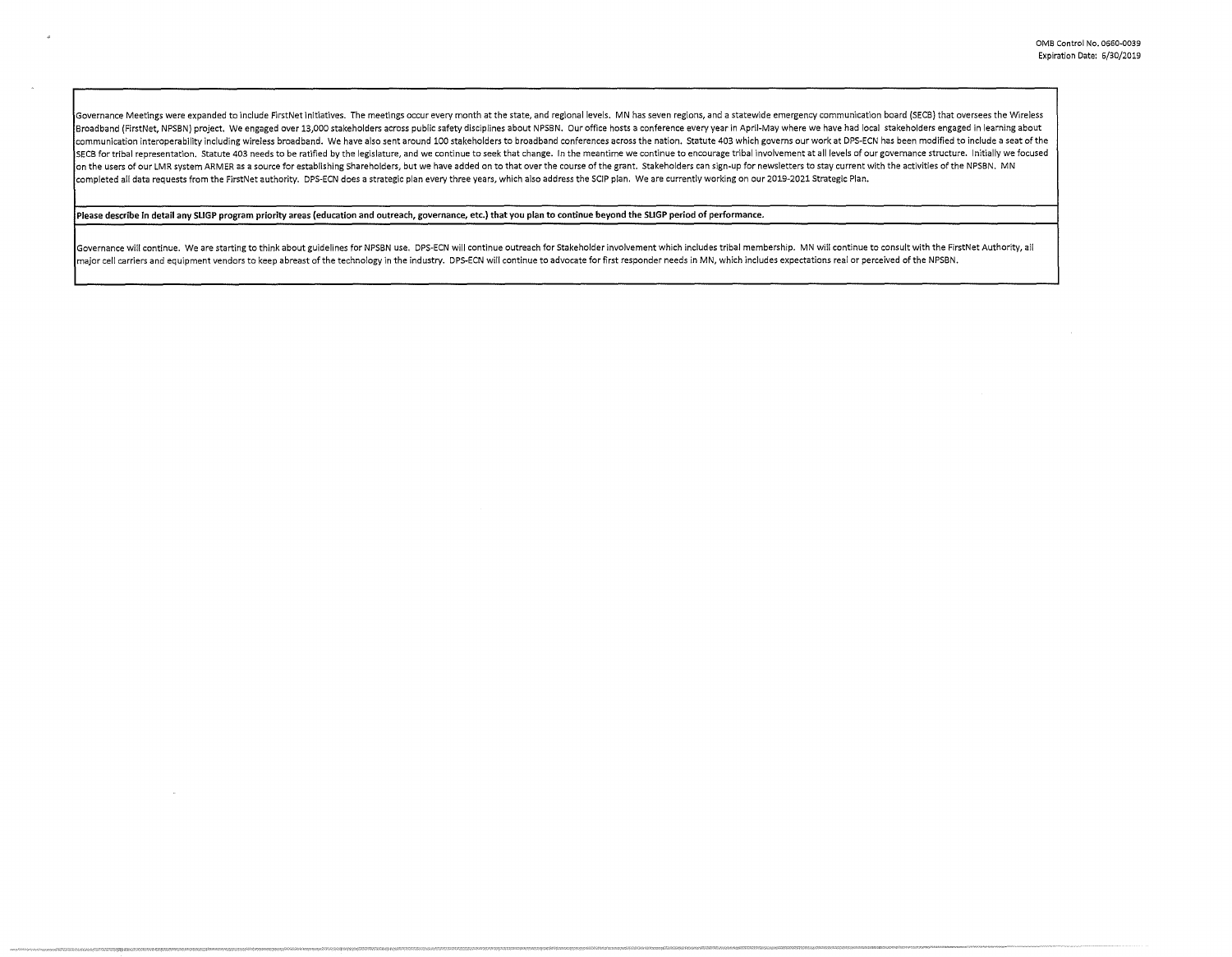Governance Meetings were expanded to include FirstNet initiatives. The meetings occur every month at the state, and regional levels. MN has seven regions, and a statewide emergency communication board (SECB) that oversees Broadband (FirstNet, NPSBN) project. We engaged over 13,000 stakeholders across public safety disciplines about NPSBN. Our office hosts a conference every year in April-May where we have had local stakeholders engaged in l communication interoperability including wireless broadband. We have also sent around 100 stakeholders to broadband conferences across the nation. Statute 403 which governs our work at DPS-ECN has been modified to include SECB for tribal representation, Statute 403 needs to be ratified by the legislature, and we continue to seek that change. In the meantime we continue to encourage tribal involvement at all levels of our governance structur on the users of our LMR system ARMER as a source for establishing Shareholders, but we have added on to that over the course of the grant. Stakeholders can sign-up for newsletters to stay current with the activities of the completed all data requests from the FirstNet authority. DPS-ECN does a strategic plan every three years, which also address the SCIP plan. We are currently working on our 2019-2021 Strategic Plan.

Please describe in detail any SLIGP program priority areas (education and outreach, governance, etc.) that you plan to continue beyond the SLIGP period of performance.

Governance will continue. We are starting to think about guidelines for NPSBN use. DPS-ECN will continue outreach for Stakeholder involvement which includes tribal membership. MN will continue to consult with the FirstNet major cell carriers and equipment vendors to keep abreast of the technology in the industry. DPS-ECN will continue to advocate for first responder needs in MN, which includes expectations real or perceived of the NPSBN.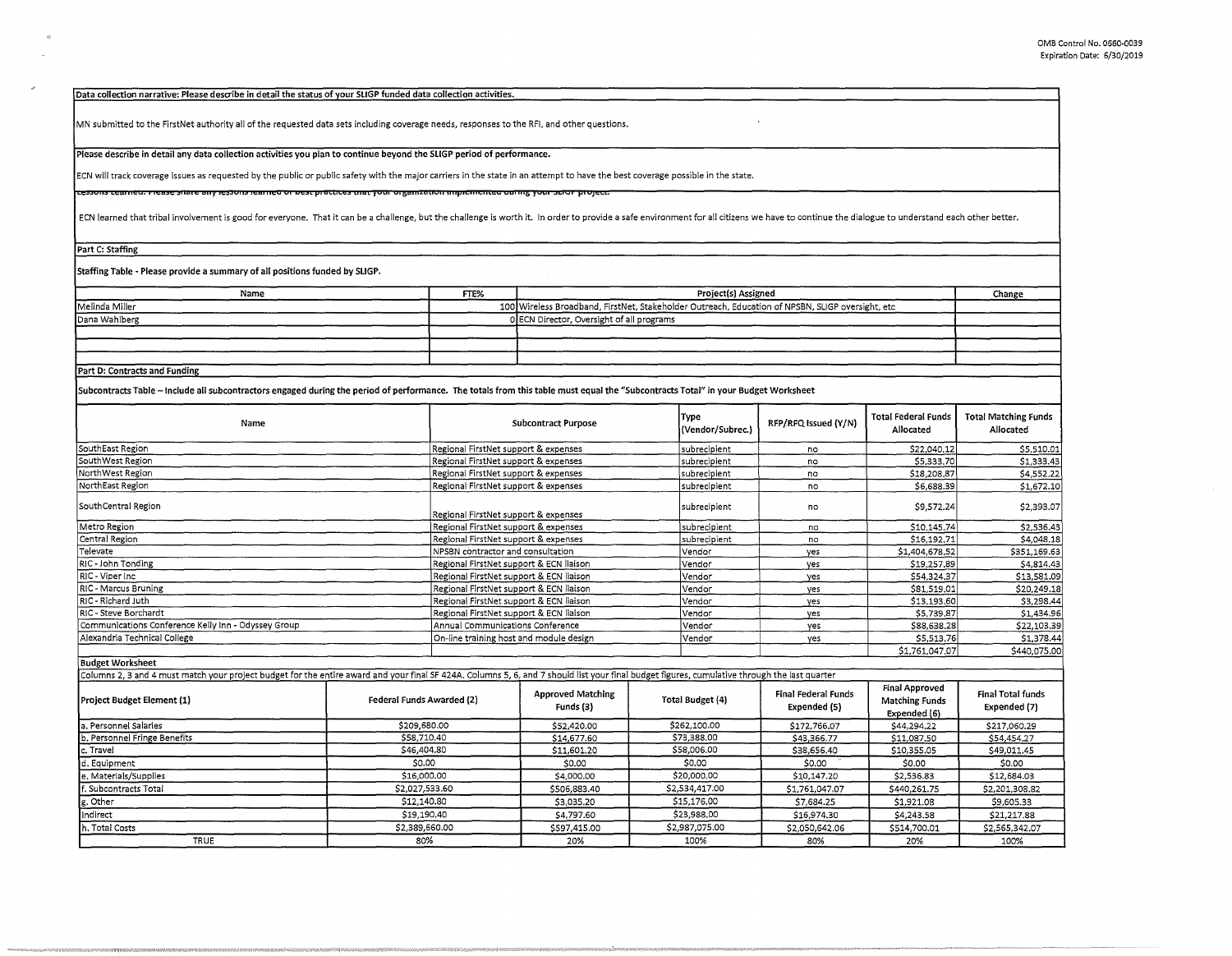**Data collection narrative: Please describe in detail the status of vour SLIGP funded data collection activities.** 

MN submitted to the FirstNet authority all of the requested data sets including coverage needs, responses to the RFI, and other questions.

Please describe in detail any data collection activities you plan to continue beyond the SLIGP period of performance.

**ECN will track coverage issues as requested by the public or public safety with the major carriers in the state in an attempt to have the best coverage possible in the state.** 

ressons ceame<del>u, mease share any ressons reameu or best practices mar your organization <del>implementeu uanng your scior project</del></del>

ECN learned that tribal involvement is good for everyone. That it can be a challenge, but the challenge is worth it. In order to provide a safe environment for all citizens we have to continue the dialogue to understand ea

**Part C: Staffing** 

Staffing Table - Please provide a summary of all positions funded by SLIGP.

| Name                          | FTE%                                      | Project(s) Assigned                                                                              | Change |
|-------------------------------|-------------------------------------------|--------------------------------------------------------------------------------------------------|--------|
| Melinda Miller                |                                           | 100 Wireless Broadband, FirstNet, Stakeholder Outreach, Education of NPSBN, SLIGP oversight, etc |        |
| Dana Wahlberg                 | 0 ECN Director, Oversight of all programs |                                                                                                  |        |
|                               |                                           |                                                                                                  |        |
|                               |                                           |                                                                                                  |        |
|                               |                                           |                                                                                                  |        |
| Part D: Contracts and Funding |                                           |                                                                                                  |        |

**Subcontracts Table** - **Include all subcontractors engaged during the period of performance. The totals from this table must equal the "Subcontracts Total" in your Budget Worksheet** 

| Name                                                | <b>Subcontract Purpose</b>              | Type<br>(Vendor/Subrec.) | RFP/RFQ Issued (Y/N) | <b>Total Federal Funds</b><br>Allocated | <b>Total Matching Funds</b><br>Allocated |
|-----------------------------------------------------|-----------------------------------------|--------------------------|----------------------|-----------------------------------------|------------------------------------------|
| SouthEast Region                                    | Regional FirstNet support & expenses    | subrecipient             | no                   | \$22,040.12                             | \$5,510.01                               |
| SouthWest Region                                    | Regional FirstNet support & expenses    | subrecipient             | no                   | \$5,333.70                              | \$1,333.43                               |
| NorthWest Region                                    | Regional FirstNet support & expenses    | subrecipient             | no                   | \$18,208.87                             | \$4,552.22                               |
| NorthEast Region                                    | Regional FirstNet support & expenses    | subrecipient             | no                   | \$6,688.39                              | \$1,672.10                               |
| SouthCentral Region                                 | Regional FirstNet support & expenses    | subrecipient             | no                   | \$9,572.24                              | \$2,393.07                               |
| Metro Region                                        | Regional FirstNet support & expenses    | subrecipient             | no                   | \$10,145.74                             | \$2,536.43                               |
| Central Region                                      | Regional FirstNet support & expenses    | subrecipient             | no                   | \$16,192,71                             | \$4,048.18                               |
| Televate                                            | NPSBN contractor and consultation       | Vendor                   | ves                  | \$1,404,678.52                          | \$351,169.63                             |
| RIC - John Tonding                                  | Regional FirstNet support & ECN liaison | l Vendor                 | ves                  | \$19,257.89                             | \$4,814.43                               |
| RIC - Viper Inc                                     | Regional FirstNet support & ECN liaison | Vendor                   | ves                  | \$54,324.37                             | \$13,581.09                              |
| RIC - Marcus Bruning                                | Regional FirstNet support & ECN liaison | Vendor                   | yes                  | \$81,519.01                             | \$20,249.18                              |
| RIC - Richard Juth                                  | Regional FirstNet support & ECN liaison | Vendor                   | yes                  | \$13,193.60                             | \$3,298.44                               |
| RIC - Steve Borchardt                               | Regional FirstNet support & ECN liaison | Vendor                   | ves                  | \$5,739.87                              | \$1,434.96                               |
| Communications Conference Kelly Inn - Odyssey Group | Annual Communications Conference        | Vendor                   | yes                  | \$88,638,28                             | \$22,103.39                              |
| Alexandria Technical College                        | On-line training host and module design | Vendor                   | yes                  | \$5,513.76                              | \$1,378.44                               |
|                                                     |                                         |                          |                      | \$1,761,047.07                          | \$440,075.00                             |

**Budget Worksheet** 

Columns 2, 3 and 4 must match your project budget for the entire award and your final SF 424A. Columns 5, 6, and 7 should list your final budget figures, cumulative through the last quarter

| Project Budget Element (1)   | Federal Funds Awarded (2) | <b>Approved Matching</b><br>Funds (3) | Total Budget (4) | Final Federal Funds<br>Expended (5) | <b>Final Approved</b><br><b>Matching Funds</b><br>Expended (6) | Final Total funds<br>Expended (7) |
|------------------------------|---------------------------|---------------------------------------|------------------|-------------------------------------|----------------------------------------------------------------|-----------------------------------|
| . Personnel Salaries         | \$209,680.00              | \$52,420.00                           | \$262,100.00     | \$172,766,07                        | \$44,294.22                                                    | \$217,060.29                      |
| b. Personnel Fringe Benefits | \$58,710.40               | \$14,677.60                           | \$73,388,00      | \$43,366.77                         | \$11,087.50                                                    | \$54,454.27                       |
| c. Travel                    | \$46,404.80               | \$11,601.20                           | \$58,006,00      | \$38,656.40                         | \$10,355.05                                                    | \$49,011.45                       |
| d. Equipment                 | \$0.00                    | \$0.00                                | \$0.00           | \$0.00                              | \$0.00                                                         | \$0.00                            |
| e. Materials/Supplies        | \$16,000.00               | \$4,000.00                            | \$20,000.00      | \$10,147.20                         | \$2,536.83                                                     | \$12,684.03                       |
| f. Subcontracts Total        | \$2,027,533.60            | \$506,883.40                          | \$2,534,417.00   | \$1,761,047.07                      | \$440,261.75                                                   | \$2,201,308.82                    |
| g. Other                     | \$12,140,80               | \$3,035.20                            | \$15,176.00      | \$7,684,25                          | \$1,921.08                                                     | \$9,605.33                        |
| Indirect                     | \$19,190.40               | \$4,797.60                            | \$23,988,00      | \$16,974,30                         | \$4,243.58                                                     | \$21,217.88                       |
| h. Total Costs               | \$2,389,660.00            | \$597,415.00                          | \$2,987,075.00   | \$2,050,642.06                      | \$514,700.01                                                   | \$2,565,342.07                    |
| <b>TRUE</b>                  | 80%                       | 20%                                   | 100%             | 80%                                 | 20%                                                            | 100%                              |